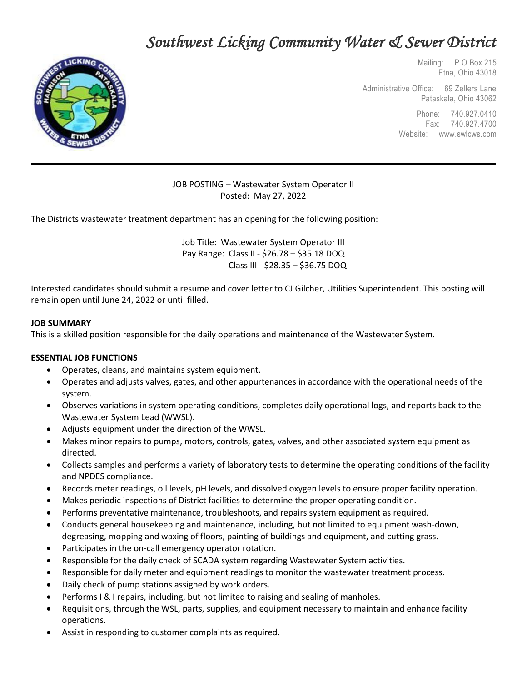# *Southwest Licking Community Water & Sewer District*



 Mailing: P.O.Box 215 Etna, Ohio 43018

Administrative Office: 69 Zellers Lane Pataskala, Ohio 43062

> Phone: 740.927.0410 Fax: 740.927.4700 Website: www.swlcws.com

## JOB POSTING – Wastewater System Operator II Posted: May 27, 2022

The Districts wastewater treatment department has an opening for the following position:

Job Title: Wastewater System Operator III Pay Range: Class II - \$26.78 – \$35.18 DOQ Class III - \$28.35 – \$36.75 DOQ

Interested candidates should submit a resume and cover letter to CJ Gilcher, Utilities Superintendent. This posting will remain open until June 24, 2022 or until filled.

#### **JOB SUMMARY**

This is a skilled position responsible for the daily operations and maintenance of the Wastewater System.

#### **ESSENTIAL JOB FUNCTIONS**

- Operates, cleans, and maintains system equipment.
- Operates and adjusts valves, gates, and other appurtenances in accordance with the operational needs of the system.
- Observes variations in system operating conditions, completes daily operational logs, and reports back to the Wastewater System Lead (WWSL).
- Adjusts equipment under the direction of the WWSL.
- Makes minor repairs to pumps, motors, controls, gates, valves, and other associated system equipment as directed.
- Collects samples and performs a variety of laboratory tests to determine the operating conditions of the facility and NPDES compliance.
- Records meter readings, oil levels, pH levels, and dissolved oxygen levels to ensure proper facility operation.
- Makes periodic inspections of District facilities to determine the proper operating condition.
- Performs preventative maintenance, troubleshoots, and repairs system equipment as required.
- Conducts general housekeeping and maintenance, including, but not limited to equipment wash-down, degreasing, mopping and waxing of floors, painting of buildings and equipment, and cutting grass.
- Participates in the on-call emergency operator rotation.
- Responsible for the daily check of SCADA system regarding Wastewater System activities.
- Responsible for daily meter and equipment readings to monitor the wastewater treatment process.
- Daily check of pump stations assigned by work orders.
- Performs I & I repairs, including, but not limited to raising and sealing of manholes.
- Requisitions, through the WSL, parts, supplies, and equipment necessary to maintain and enhance facility operations.
- Assist in responding to customer complaints as required.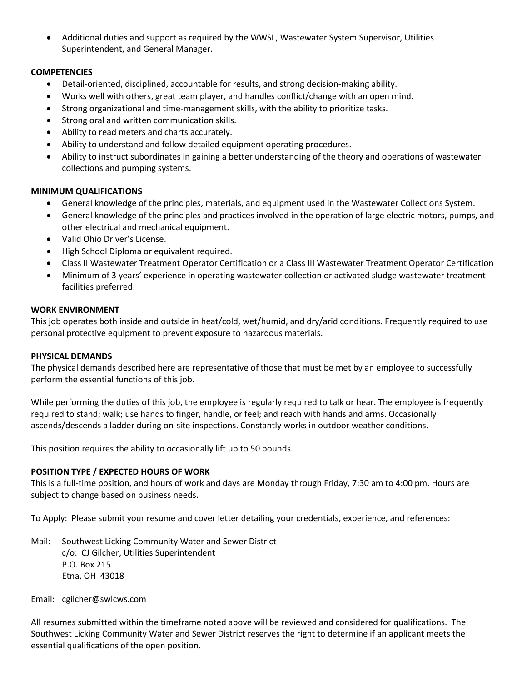• Additional duties and support as required by the WWSL, Wastewater System Supervisor, Utilities Superintendent, and General Manager.

## **COMPETENCIES**

- Detail-oriented, disciplined, accountable for results, and strong decision-making ability.
- Works well with others, great team player, and handles conflict/change with an open mind.
- Strong organizational and time-management skills, with the ability to prioritize tasks.
- Strong oral and written communication skills.
- Ability to read meters and charts accurately.
- Ability to understand and follow detailed equipment operating procedures.
- Ability to instruct subordinates in gaining a better understanding of the theory and operations of wastewater collections and pumping systems.

#### **MINIMUM QUALIFICATIONS**

- General knowledge of the principles, materials, and equipment used in the Wastewater Collections System.
- General knowledge of the principles and practices involved in the operation of large electric motors, pumps, and other electrical and mechanical equipment.
- Valid Ohio Driver's License.
- High School Diploma or equivalent required.
- Class II Wastewater Treatment Operator Certification or a Class III Wastewater Treatment Operator Certification
- Minimum of 3 years' experience in operating wastewater collection or activated sludge wastewater treatment facilities preferred.

#### **WORK ENVIRONMENT**

This job operates both inside and outside in heat/cold, wet/humid, and dry/arid conditions. Frequently required to use personal protective equipment to prevent exposure to hazardous materials.

#### **PHYSICAL DEMANDS**

The physical demands described here are representative of those that must be met by an employee to successfully perform the essential functions of this job.

While performing the duties of this job, the employee is regularly required to talk or hear. The employee is frequently required to stand; walk; use hands to finger, handle, or feel; and reach with hands and arms. Occasionally ascends/descends a ladder during on-site inspections. Constantly works in outdoor weather conditions.

This position requires the ability to occasionally lift up to 50 pounds.

#### **POSITION TYPE / EXPECTED HOURS OF WORK**

This is a full-time position, and hours of work and days are Monday through Friday, 7:30 am to 4:00 pm. Hours are subject to change based on business needs.

To Apply: Please submit your resume and cover letter detailing your credentials, experience, and references:

Mail: Southwest Licking Community Water and Sewer District c/o: CJ Gilcher, Utilities Superintendent P.O. Box 215 Etna, OH 43018

#### Email: cgilcher@swlcws.com

All resumes submitted within the timeframe noted above will be reviewed and considered for qualifications. The Southwest Licking Community Water and Sewer District reserves the right to determine if an applicant meets the essential qualifications of the open position.